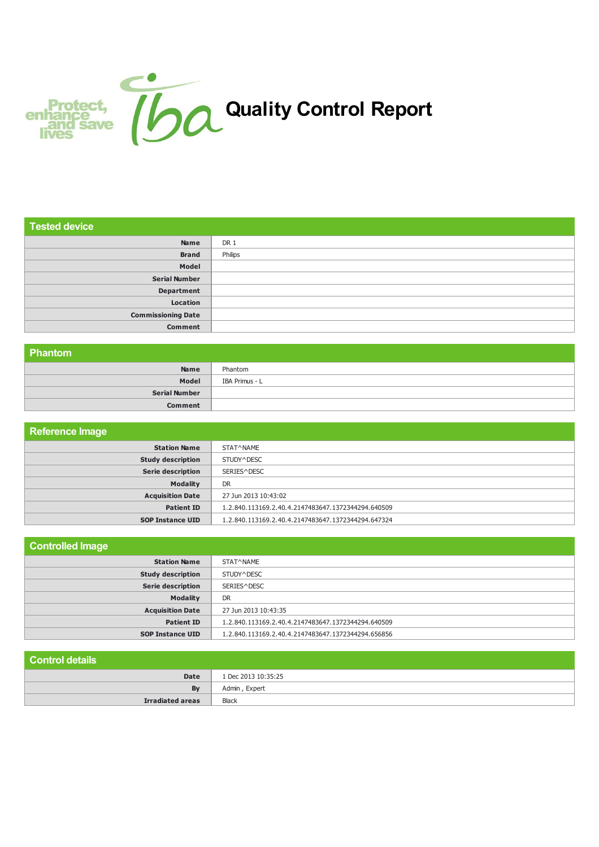

| <b>Tested device</b>      |         |
|---------------------------|---------|
| Name                      | DR 1    |
| <b>Brand</b>              | Philips |
| Model                     |         |
| <b>Serial Number</b>      |         |
| <b>Department</b>         |         |
| Location                  |         |
| <b>Commissioning Date</b> |         |
| <b>Comment</b>            |         |

## **Phantom**

| <b>THANOIL</b>       |                |
|----------------------|----------------|
| <b>Name</b>          | Phantom        |
| Model                | IBA Primus - L |
| <b>Serial Number</b> |                |
| <b>Comment</b>       |                |

| <b>Reference Image</b>   |                                                    |
|--------------------------|----------------------------------------------------|
| <b>Station Name</b>      | STAT^NAME                                          |
| <b>Study description</b> | STUDY^DESC                                         |
| <b>Serie description</b> | SERIES^DESC                                        |
| <b>Modality</b>          | <b>DR</b>                                          |
| <b>Acquisition Date</b>  | 27 Jun 2013 10:43:02                               |
| <b>Patient ID</b>        | 1.2.840.113169.2.40.4.2147483647.1372344294.640509 |
| <b>SOP Instance UID</b>  | 1.2.840.113169.2.40.4.2147483647.1372344294.647324 |

| <b>Controlled Image</b>  |                                                    |
|--------------------------|----------------------------------------------------|
| <b>Station Name</b>      | STAT^NAME                                          |
| <b>Study description</b> | STUDY^DESC                                         |
| <b>Serie description</b> | SERIES^DESC                                        |
| <b>Modality</b>          | <b>DR</b>                                          |
| <b>Acquisition Date</b>  | 27 Jun 2013 10:43:35                               |
| <b>Patient ID</b>        | 1.2.840.113169.2.40.4.2147483647.1372344294.640509 |
| <b>SOP Instance UID</b>  | 1.2.840.113169.2.40.4.2147483647.1372344294.656856 |

### **Control details Date** 1 Dec 2013 10:35:25 **By** Admin, Expert **Irradiated areas** Black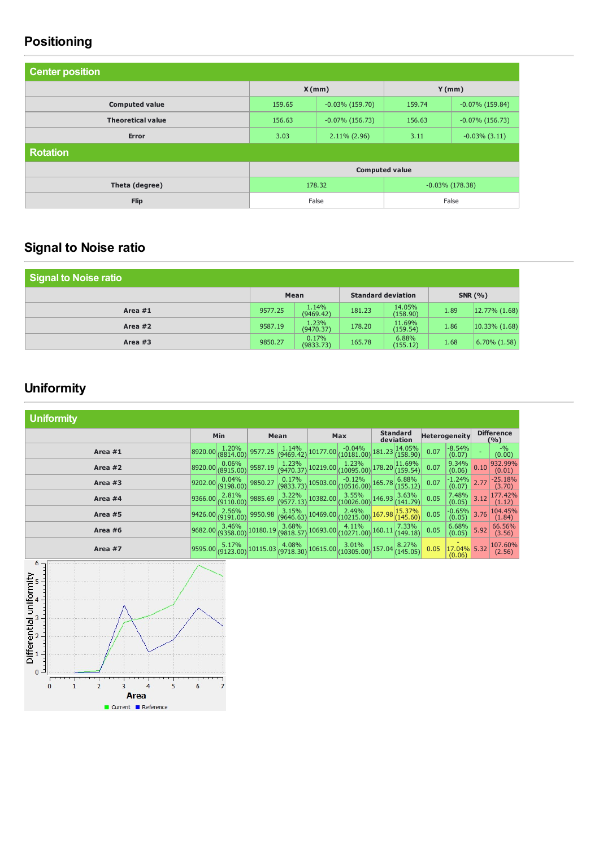# **Positioning**

| <b>Center position</b>   |                              |                    |                       |                    |  |  |
|--------------------------|------------------------------|--------------------|-----------------------|--------------------|--|--|
|                          | X(mm)<br>Y(mm)               |                    |                       |                    |  |  |
| <b>Computed value</b>    | 159.65                       | $-0.03\%$ (159.70) | 159.74                | $-0.07\%$ (159.84) |  |  |
| <b>Theoretical value</b> | 156.63                       | $-0.07\%$ (156.73) | 156.63                | $-0.07\%$ (156.73) |  |  |
| <b>Error</b>             | 3.03                         | $2.11\%$ (2.96)    | 3.11                  | $-0.03\%$ (3.11)   |  |  |
| <b>Rotation</b>          |                              |                    |                       |                    |  |  |
|                          |                              |                    | <b>Computed value</b> |                    |  |  |
| Theta (degree)           | 178.32<br>$-0.03\%$ (178.38) |                    |                       |                    |  |  |
| <b>Flip</b>              |                              | False              |                       | False              |  |  |

# **Signal to Noise ratio**

| Signal to Noise ratio |         |                    |                           |                    |      |                    |  |
|-----------------------|---------|--------------------|---------------------------|--------------------|------|--------------------|--|
|                       | Mean    |                    | <b>Standard deviation</b> |                    |      | <b>SNR (%)</b>     |  |
| Area $#1$             | 9577.25 | 1.14%<br>(9469.42) | 181.23                    | 14.05%<br>(158.90) | 1.89 | $ 12.77\%  (1.68)$ |  |
| Area $#2$             | 9587.19 | 1.23%<br>(9470.37) | 178.20                    | 11.69%<br>(159.54) | 1.86 | $ 10.33\% (1.68) $ |  |
| Area $#3$             | 9850.27 | 0.17%<br>(9833.73) | 165.78                    | 6.88%<br>(155.12)  | 1.68 | $6.70\%$ $(1.58)$  |  |

# **Uniformity**

| <b>Uniformity</b> |         |                                                    |          |                                                     |          |                         |                              |                    |                      |                    |      |                            |
|-------------------|---------|----------------------------------------------------|----------|-----------------------------------------------------|----------|-------------------------|------------------------------|--------------------|----------------------|--------------------|------|----------------------------|
|                   | Min     |                                                    | Mean     |                                                     | Max      |                         | <b>Standard</b><br>deviation |                    | <b>Heterogeneity</b> |                    |      | <b>Difference</b><br>(9/0) |
| Area #1           | 8920.00 | 1.20%<br>(8814.00)                                 | 9577.25  | $\frac{1.14\%}{(9469.42)}$ 10177.00                 |          | $-0.04\%$<br>(10181.00) | 181.23                       | 14.05%<br>(158.90) | 0.07                 | $-8.54%$<br>(0.07) |      | $-9/0$<br>(0.00)           |
| Area #2           | 8920.00 | 0.06%<br>(8915.00)                                 | 9587.19  | $\left  \frac{1.23\%}{(9470.37)} \right $ 10219.00  |          | 1.23%<br>(10095.00)     | 178.20                       | 11.69%<br>(159.54) | 0.07                 | 9.34%<br>(0.06)    | 0.10 | 932.99%<br>(0.01)          |
| Area #3           | 9202.00 | 0.04%<br>(9198.00)                                 | 9850.27  | $\begin{array}{c c} 0.17\% & 10503.00 \end{array}$  |          | $-0.12\%$<br>(10516.00) | 165.78                       | 6.88%<br>(155.12)  | 0.07                 | $-1.24%$<br>(0.07) | 2.77 | $-25.18%$<br>(3.70)        |
| Area #4           | 9366.00 | $\begin{array}{c} 2.81\% \\ (9110.00) \end{array}$ | 9885.69  | $\begin{bmatrix} 3.22\% \\ (9577.13) \end{bmatrix}$ | 10382.00 | $3.55\%$<br>(10026.00)  | 146.93                       | 3.63%<br>(141.79)  | 0.05                 | 7.48%<br>(0.05)    | 3.12 | 177.42%<br>(1.12)          |
| Area #5           | 9426.00 | 2.56%<br>(9191.00)                                 | 9950.98  | 3.15%<br>(9646.63)                                  | 10469.00 | 2.49%<br>(10215.00)     | 167.98                       | 15.37%<br>(145.60) | 0.05                 | $-0.65%$<br>(0.05) | 3.76 | 104.45%<br>(1.84)          |
| Area #6           | 9682.00 | 3.46%<br>(9358.00)                                 | 10180.19 | $3.68\%$<br>(9818.57)                               | 10693.00 | $4.11\%$<br>(10271.00)  | 160.11                       | 7.33%<br>(149.18)  | 0.05                 | 6.68%<br>(0.05)    | 5.92 | 66.56%<br>(3.56)           |
| Area #7           | 9595.00 | 5.17%<br>(9123.00)                                 | 10115.03 | 4.08%<br>(9718.30)                                  | 10615.00 | 3.01%<br>(10305.00)     | 157.04                       | 8.27%<br>(145.05)  | 0.05                 | 17.04%<br>(0.06)   | 5.32 | 107.60%<br>(2.56)          |

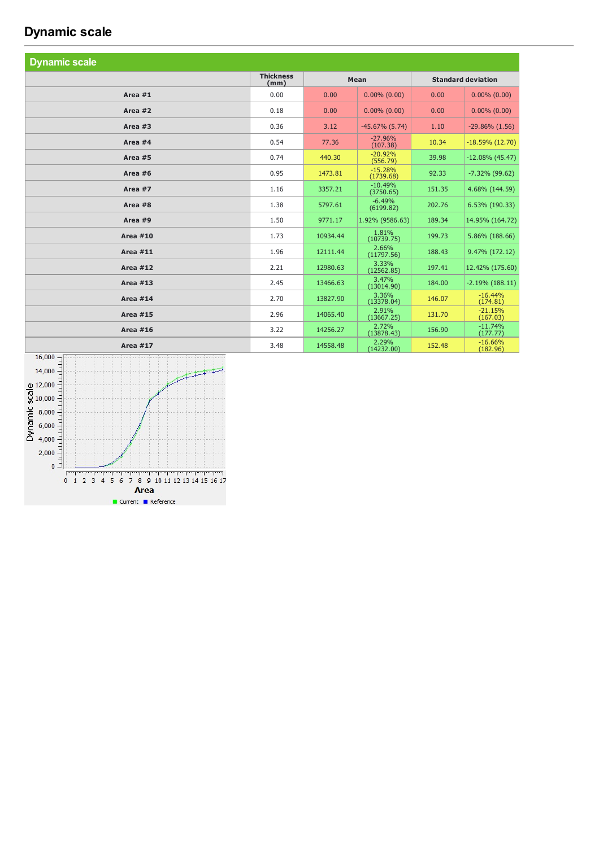## **Dynamic** scale

| <b>Dynamic scale</b> |                          |          |                        |        |                           |  |
|----------------------|--------------------------|----------|------------------------|--------|---------------------------|--|
|                      | <b>Thickness</b><br>(mm) | Mean     |                        |        | <b>Standard deviation</b> |  |
| Area $#1$            | 0.00                     | 0.00     | $0.00\%$ (0.00)        | 0.00   | $0.00\%$ $(0.00)$         |  |
| Area $#2$            | 0.18                     | 0.00     | $0.00\%$ $(0.00)$      | 0.00   | $0.00\%$ $(0.00)$         |  |
| Area $#3$            | 0.36                     | 3.12     | $-45.67\%$ (5.74)      | 1.10   | $-29.86\%$ $(1.56)$       |  |
| Area #4              | 0.54                     | 77.36    | $-27.96%$<br>(107.38)  | 10.34  | $-18.59\%$ (12.70)        |  |
| Area #5              | 0.74                     | 440.30   | $-20.92%$<br>(556.79)  | 39.98  | $-12.08\%$ (45.47)        |  |
| Area $#6$            | 0.95                     | 1473.81  | $-15.28%$<br>(1739.68) | 92.33  | $-7.32\%$ (99.62)         |  |
| Area #7              | 1.16                     | 3357.21  | $-10.49%$<br>(3750.65) | 151.35 | 4.68% (144.59)            |  |
| Area #8              | 1.38                     | 5797.61  | $-6.49%$<br>(6199.82)  | 202.76 | 6.53% (190.33)            |  |
| Area #9              | 1.50                     | 9771.17  | 1.92% (9586.63)        | 189.34 | 14.95% (164.72)           |  |
| <b>Area #10</b>      | 1.73                     | 10934.44 | 1.81%<br>(10739.75)    | 199.73 | 5.86% (188.66)            |  |
| <b>Area #11</b>      | 1.96                     | 12111.44 | 2.66%<br>(11797.56)    | 188.43 | 9.47% (172.12)            |  |
| <b>Area #12</b>      | 2.21                     | 12980.63 | 3.33%<br>(12562.85)    | 197.41 | 12.42% (175.60)           |  |
| Area $#13$           | 2.45                     | 13466.63 | 3.47%<br>(13014.90)    | 184.00 | $-2.19\%$ (188.11)        |  |
| <b>Area #14</b>      | 2.70                     | 13827.90 | 3.36%<br>(13378.04)    | 146.07 | $-16.44%$<br>(174.81)     |  |
| <b>Area #15</b>      | 2.96                     | 14065.40 | 2.91%<br>(13667.25)    | 131.70 | $-21.15%$<br>(167.03)     |  |
| <b>Area #16</b>      | 3.22                     | 14256.27 | 2.72%<br>(13878.43)    | 156.90 | $-11.74%$<br>(177.77)     |  |
| <b>Area #17</b>      | 3.48                     | 14558.48 | 2.29%<br>(14232.00)    | 152.48 | $-16.66%$<br>(182.96)     |  |

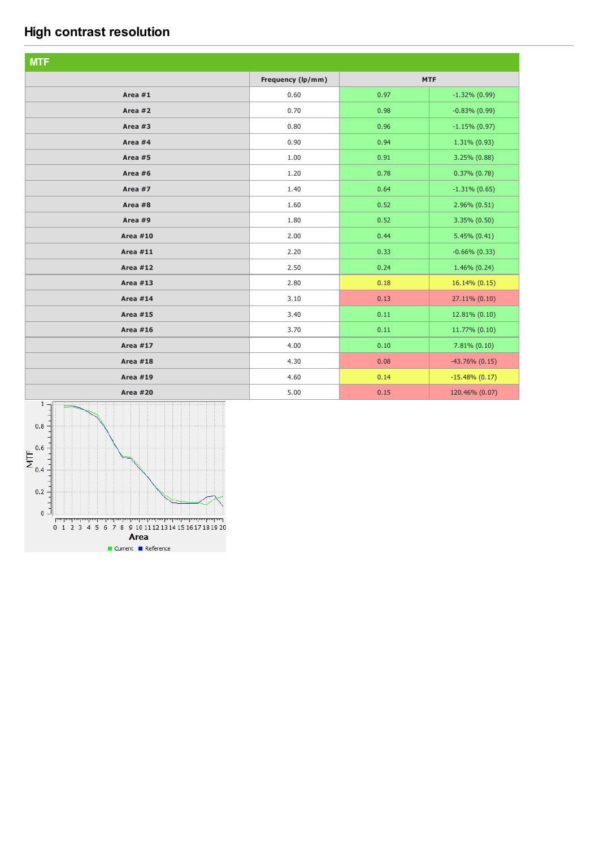# **High contrast resolution**

| <b>MTF</b>      |                   |      |                   |
|-----------------|-------------------|------|-------------------|
|                 | Frequency (lp/mm) |      | <b>MTF</b>        |
| Area #1         | 0.60              | 0.97 | $-1.32\%$ (0.99)  |
| Area #2         | 0.70              | 0.98 | $-0.83\%$ (0.99)  |
| Area #3         | 0.80              | 0.96 | $-1.15\%$ (0.97)  |
| Area #4         | 0.90              | 0.94 | $1.31\% (0.93)$   |
| Area #5         | 1.00              | 0.91 | $3.25\%$ (0.88)   |
| Area #6         | 1.20              | 0.78 | $0.37\%$ $(0.78)$ |
| Area #7         | 1.40              | 0.64 | $-1.31\%$ (0.65)  |
| Area #8         | 1.60              | 0.52 | $2.96\% (0.51)$   |
| Area #9         | 1.80              | 0.52 | $3.35\% (0.50)$   |
| <b>Area #10</b> | 2.00              | 0.44 | $5.45\% (0.41)$   |
| <b>Area #11</b> | 2.20              | 0.33 | $-0.66\%$ (0.33)  |
| <b>Area #12</b> | 2.50              | 0.24 | $1.46\%$ (0.24)   |
| <b>Area #13</b> | 2.80              | 0.18 | 16.14% (0.15)     |
| <b>Area #14</b> | 3.10              | 0.13 | 27.11% (0.10)     |
| <b>Area #15</b> | 3.40              | 0.11 | 12.81% (0.10)     |
| <b>Area #16</b> | 3.70              | 0.11 | 11.77% (0.10)     |
| <b>Area #17</b> | 4.00              | 0.10 | $7.81\% (0.10)$   |
| <b>Area #18</b> | 4.30              | 0.08 | $-43.76\%$ (0.15) |
| <b>Area #19</b> | 4.60              | 0.14 | $-15.48\%$ (0.17) |
| <b>Area #20</b> | 5.00              | 0.15 | 120.46% (0.07)    |